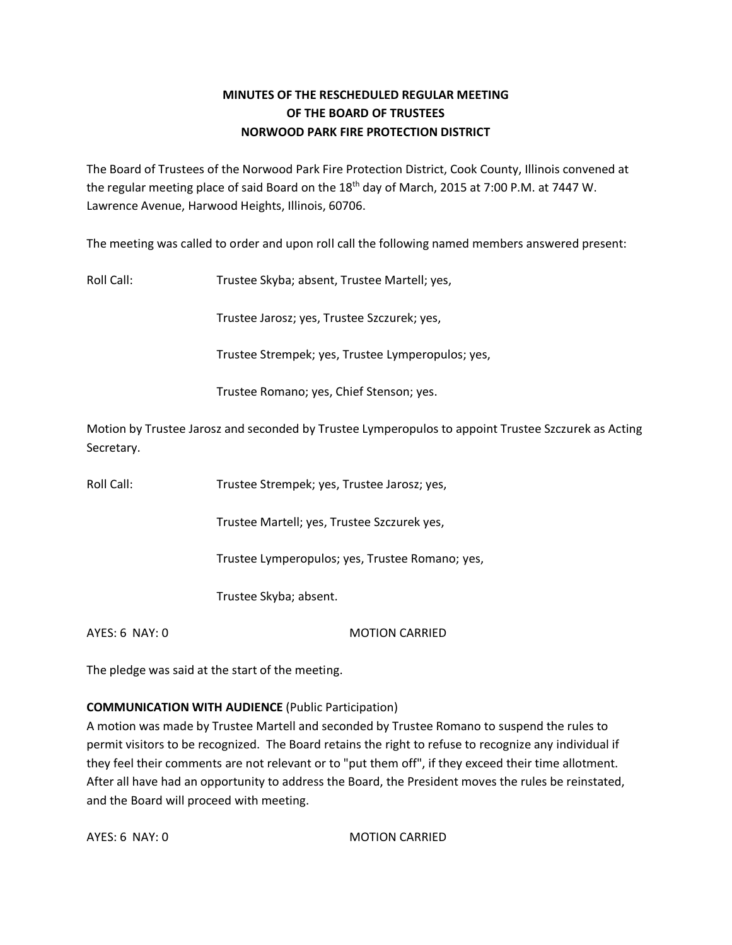## **MINUTES OF THE RESCHEDULED REGULAR MEETING OF THE BOARD OF TRUSTEES NORWOOD PARK FIRE PROTECTION DISTRICT**

The Board of Trustees of the Norwood Park Fire Protection District, Cook County, Illinois convened at the regular meeting place of said Board on the 18<sup>th</sup> day of March, 2015 at 7:00 P.M. at 7447 W. Lawrence Avenue, Harwood Heights, Illinois, 60706.

The meeting was called to order and upon roll call the following named members answered present:

Roll Call: Trustee Skyba; absent, Trustee Martell; yes,

Trustee Jarosz; yes, Trustee Szczurek; yes,

Trustee Strempek; yes, Trustee Lymperopulos; yes,

Trustee Romano; yes, Chief Stenson; yes.

Motion by Trustee Jarosz and seconded by Trustee Lymperopulos to appoint Trustee Szczurek as Acting Secretary.

Roll Call: Trustee Strempek; yes, Trustee Jarosz; yes,

Trustee Martell; yes, Trustee Szczurek yes,

Trustee Lymperopulos; yes, Trustee Romano; yes,

Trustee Skyba; absent.

AYES: 6 NAY: 0 MOTION CARRIED

The pledge was said at the start of the meeting.

#### **COMMUNICATION WITH AUDIENCE** (Public Participation)

A motion was made by Trustee Martell and seconded by Trustee Romano to suspend the rules to permit visitors to be recognized. The Board retains the right to refuse to recognize any individual if they feel their comments are not relevant or to "put them off", if they exceed their time allotment. After all have had an opportunity to address the Board, the President moves the rules be reinstated, and the Board will proceed with meeting.

AYES: 6 NAY: 0 MOTION CARRIED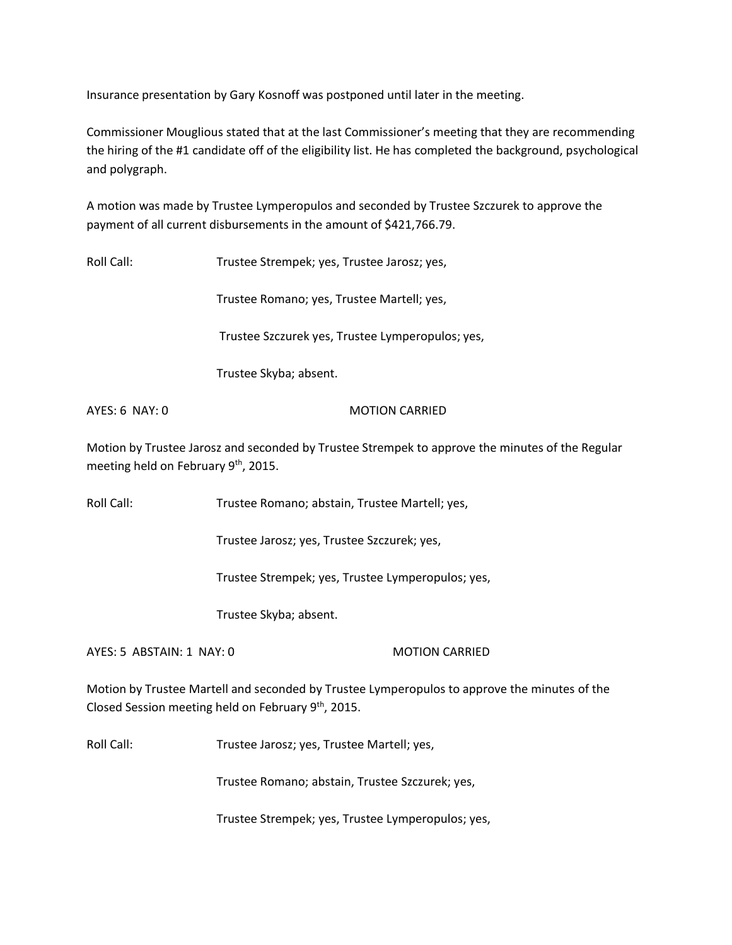Insurance presentation by Gary Kosnoff was postponed until later in the meeting.

Commissioner Mouglious stated that at the last Commissioner's meeting that they are recommending the hiring of the #1 candidate off of the eligibility list. He has completed the background, psychological and polygraph.

A motion was made by Trustee Lymperopulos and seconded by Trustee Szczurek to approve the payment of all current disbursements in the amount of \$421,766.79.

Roll Call: Trustee Strempek; yes, Trustee Jarosz; yes,

Trustee Romano; yes, Trustee Martell; yes,

Trustee Szczurek yes, Trustee Lymperopulos; yes,

Trustee Skyba; absent.

#### AYES: 6 NAY: 0 MOTION CARRIED

Motion by Trustee Jarosz and seconded by Trustee Strempek to approve the minutes of the Regular meeting held on February 9<sup>th</sup>, 2015.

Roll Call: Trustee Romano; abstain, Trustee Martell; yes,

Trustee Jarosz; yes, Trustee Szczurek; yes,

Trustee Strempek; yes, Trustee Lymperopulos; yes,

Trustee Skyba; absent.

AYES: 5 ABSTAIN: 1 NAY: 0 MOTION CARRIED

Motion by Trustee Martell and seconded by Trustee Lymperopulos to approve the minutes of the Closed Session meeting held on February 9<sup>th</sup>, 2015.

Roll Call: Trustee Jarosz; yes, Trustee Martell; yes,

Trustee Romano; abstain, Trustee Szczurek; yes,

Trustee Strempek; yes, Trustee Lymperopulos; yes,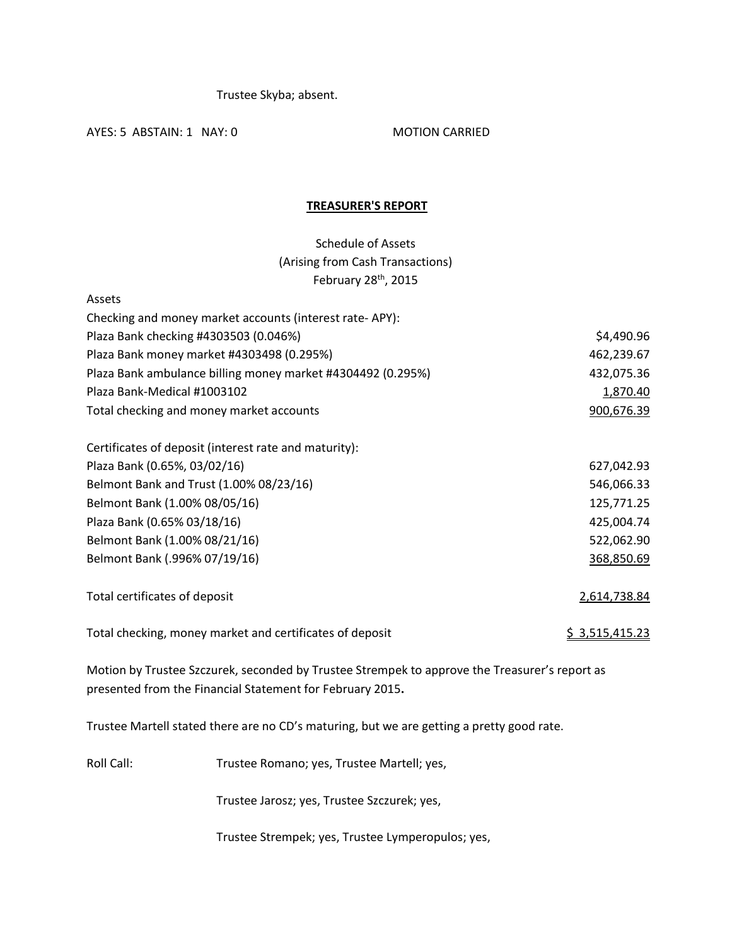Trustee Skyba; absent.

AYES: 5 ABSTAIN: 1 NAY: 0 MOTION CARRIED

### **TREASURER'S REPORT**

# Schedule of Assets (Arising from Cash Transactions) February 28<sup>th</sup>, 2015

| Assets                                                      |                       |
|-------------------------------------------------------------|-----------------------|
| Checking and money market accounts (interest rate-APY):     |                       |
| Plaza Bank checking #4303503 (0.046%)                       | \$4,490.96            |
| Plaza Bank money market #4303498 (0.295%)                   | 462,239.67            |
| Plaza Bank ambulance billing money market #4304492 (0.295%) | 432,075.36            |
| Plaza Bank-Medical #1003102                                 | 1,870.40              |
| Total checking and money market accounts                    | 900,676.39            |
| Certificates of deposit (interest rate and maturity):       |                       |
| Plaza Bank (0.65%, 03/02/16)                                | 627,042.93            |
| Belmont Bank and Trust (1.00% 08/23/16)                     | 546,066.33            |
| Belmont Bank (1.00% 08/05/16)                               | 125,771.25            |
| Plaza Bank (0.65% 03/18/16)                                 | 425,004.74            |
| Belmont Bank (1.00% 08/21/16)                               | 522,062.90            |
| Belmont Bank (.996% 07/19/16)                               | 368,850.69            |
| Total certificates of deposit                               | 2,614,738.84          |
| Total checking, money market and certificates of deposit    | <u>\$3,515,415.23</u> |

Motion by Trustee Szczurek, seconded by Trustee Strempek to approve the Treasurer's report as presented from the Financial Statement for February 2015**.** 

Trustee Martell stated there are no CD's maturing, but we are getting a pretty good rate.

Roll Call: Trustee Romano; yes, Trustee Martell; yes,

Trustee Jarosz; yes, Trustee Szczurek; yes,

Trustee Strempek; yes, Trustee Lymperopulos; yes,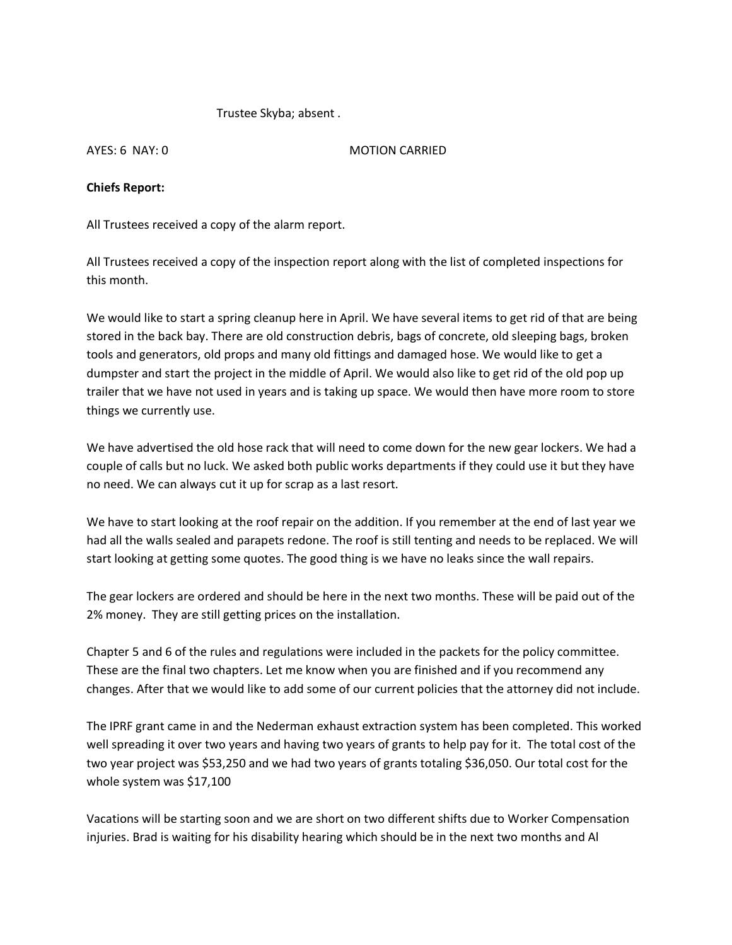Trustee Skyba; absent .

AYES: 6 NAY: 0 MOTION CARRIED

## **Chiefs Report:**

All Trustees received a copy of the alarm report.

All Trustees received a copy of the inspection report along with the list of completed inspections for this month.

We would like to start a spring cleanup here in April. We have several items to get rid of that are being stored in the back bay. There are old construction debris, bags of concrete, old sleeping bags, broken tools and generators, old props and many old fittings and damaged hose. We would like to get a dumpster and start the project in the middle of April. We would also like to get rid of the old pop up trailer that we have not used in years and is taking up space. We would then have more room to store things we currently use.

We have advertised the old hose rack that will need to come down for the new gear lockers. We had a couple of calls but no luck. We asked both public works departments if they could use it but they have no need. We can always cut it up for scrap as a last resort.

We have to start looking at the roof repair on the addition. If you remember at the end of last year we had all the walls sealed and parapets redone. The roof is still tenting and needs to be replaced. We will start looking at getting some quotes. The good thing is we have no leaks since the wall repairs.

The gear lockers are ordered and should be here in the next two months. These will be paid out of the 2% money. They are still getting prices on the installation.

Chapter 5 and 6 of the rules and regulations were included in the packets for the policy committee. These are the final two chapters. Let me know when you are finished and if you recommend any changes. After that we would like to add some of our current policies that the attorney did not include.

The IPRF grant came in and the Nederman exhaust extraction system has been completed. This worked well spreading it over two years and having two years of grants to help pay for it. The total cost of the two year project was \$53,250 and we had two years of grants totaling \$36,050. Our total cost for the whole system was \$17,100

Vacations will be starting soon and we are short on two different shifts due to Worker Compensation injuries. Brad is waiting for his disability hearing which should be in the next two months and Al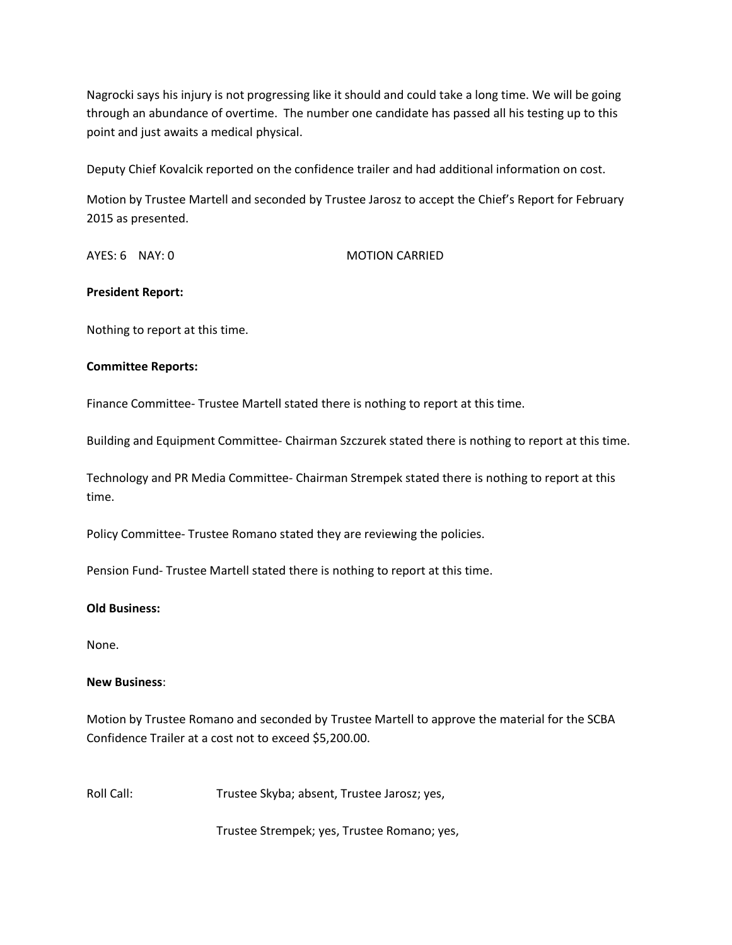Nagrocki says his injury is not progressing like it should and could take a long time. We will be going through an abundance of overtime. The number one candidate has passed all his testing up to this point and just awaits a medical physical.

Deputy Chief Kovalcik reported on the confidence trailer and had additional information on cost.

Motion by Trustee Martell and seconded by Trustee Jarosz to accept the Chief's Report for February 2015 as presented.

AYES: 6 NAY: 0 MOTION CARRIED

#### **President Report:**

Nothing to report at this time.

#### **Committee Reports:**

Finance Committee- Trustee Martell stated there is nothing to report at this time.

Building and Equipment Committee- Chairman Szczurek stated there is nothing to report at this time.

Technology and PR Media Committee- Chairman Strempek stated there is nothing to report at this time.

Policy Committee- Trustee Romano stated they are reviewing the policies.

Pension Fund- Trustee Martell stated there is nothing to report at this time.

#### **Old Business:**

None.

#### **New Business**:

Motion by Trustee Romano and seconded by Trustee Martell to approve the material for the SCBA Confidence Trailer at a cost not to exceed \$5,200.00.

Roll Call: Trustee Skyba; absent, Trustee Jarosz; yes,

Trustee Strempek; yes, Trustee Romano; yes,